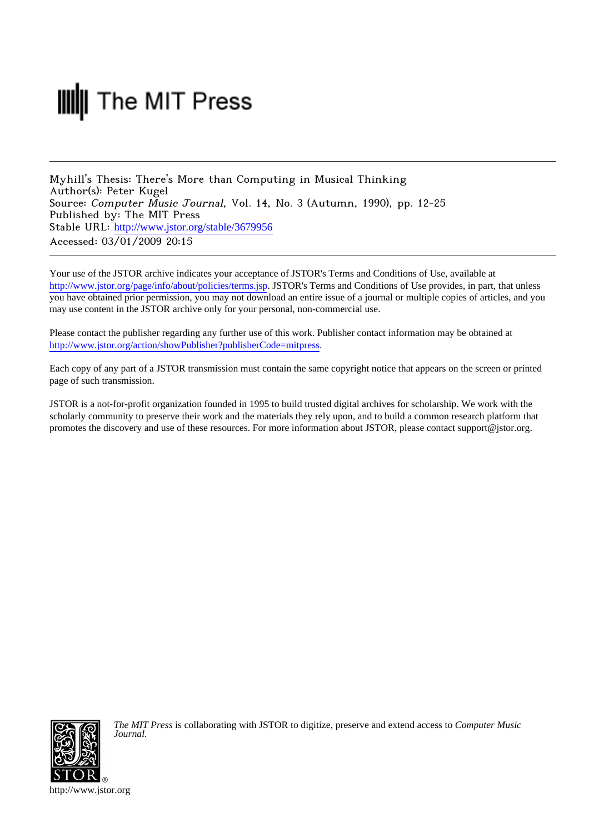# **III** The MIT Press

Myhill's Thesis: There's More than Computing in Musical Thinking Author(s): Peter Kugel Source: Computer Music Journal, Vol. 14, No. 3 (Autumn, 1990), pp. 12-25 Published by: The MIT Press Stable URL: [http://www.jstor.org/stable/3679956](http://www.jstor.org/stable/3679956?origin=JSTOR-pdf) Accessed: 03/01/2009 20:15

Your use of the JSTOR archive indicates your acceptance of JSTOR's Terms and Conditions of Use, available at <http://www.jstor.org/page/info/about/policies/terms.jsp>. JSTOR's Terms and Conditions of Use provides, in part, that unless you have obtained prior permission, you may not download an entire issue of a journal or multiple copies of articles, and you may use content in the JSTOR archive only for your personal, non-commercial use.

Please contact the publisher regarding any further use of this work. Publisher contact information may be obtained at [http://www.jstor.org/action/showPublisher?publisherCode=mitpress.](http://www.jstor.org/action/showPublisher?publisherCode=mitpress)

Each copy of any part of a JSTOR transmission must contain the same copyright notice that appears on the screen or printed page of such transmission.

JSTOR is a not-for-profit organization founded in 1995 to build trusted digital archives for scholarship. We work with the scholarly community to preserve their work and the materials they rely upon, and to build a common research platform that promotes the discovery and use of these resources. For more information about JSTOR, please contact support@jstor.org.



*The MIT Press* is collaborating with JSTOR to digitize, preserve and extend access to *Computer Music Journal.*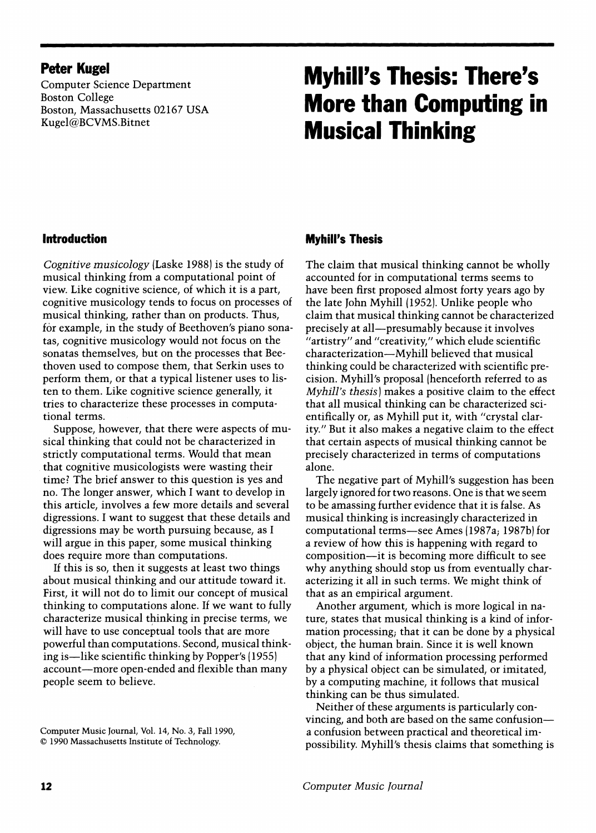## **Peter Kugel**

**Computer Science Department Boston College Boston, Massachusetts 02167 USA Kugel@BCVMS.Bitnet** 

# **Myhill's Thesis: There's More than Computing in Musical Thinking**

#### **Introduction**

**Cognitive musicology (Laske 1988) is the study of musical thinking from a computational point of view. Like cognitive science, of which it is a part, cognitive musicology tends to focus on processes of musical thinking, rather than on products. Thus, for example, in the study of Beethoven's piano sonatas, cognitive musicology would not focus on the sonatas themselves, but on the processes that Beethoven used to compose them, that Serkin uses to perform them, or that a typical listener uses to listen to them. Like cognitive science generally, it tries to characterize these processes in computational terms.** 

**Suppose, however, that there were aspects of musical thinking that could not be characterized in strictly computational terms. Would that mean that cognitive musicologists were wasting their time? The brief answer to this question is yes and no. The longer answer, which I want to develop in this article, involves a few more details and several digressions. I want to suggest that these details and digressions may be worth pursuing because, as I will argue in this paper, some musical thinking does require more than computations.** 

**If this is so, then it suggests at least two things about musical thinking and our attitude toward it. First, it will not do to limit our concept of musical thinking to computations alone. If we want to fully characterize musical thinking in precise terms, we will have to use conceptual tools that are more powerful than computations. Second, musical thinking is-like scientific thinking by Popper's (1955) account-more open-ended and flexible than many people seem to believe.** 

#### **Myhill's Thesis**

**The claim that musical thinking cannot be wholly accounted for in computational terms seems to have been first proposed almost forty years ago by the late John Myhill (1952). Unlike people who claim that musical thinking cannot be characterized precisely at all-presumably because it involves "artistry" and "creativity," which elude scientific characterization-Myhill believed that musical thinking could be characterized with scientific precision. Myhill's proposal (henceforth referred to as Myhill's thesis) makes a positive claim to the effect that all musical thinking can be characterized scientifically or, as Myhill put it, with "crystal clarity." But it also makes a negative claim to the effect that certain aspects of musical thinking cannot be precisely characterized in terms of computations alone.** 

**The negative part of Myhill's suggestion has been largely ignored for two reasons. One is that we seem to be amassing further evidence that it is false. As musical thinking is increasingly characterized in computational terms-see Ames (1987a; 1987b) for a review of how this is happening with regard to composition-it is becoming more difficult to see why anything should stop us from eventually characterizing it all in such terms. We might think of that as an empirical argument.** 

**Another argument, which is more logical in nature, states that musical thinking is a kind of information processing; that it can be done by a physical object, the human brain. Since it is well known that any kind of information processing performed by a physical object can be simulated, or imitated, by a computing machine, it follows that musical thinking can be thus simulated.** 

**Neither of these arguments is particularly convincing, and both are based on the same confusiona confusion between practical and theoretical impossibility. Myhill's thesis claims that something is** 

**Computer Music Journal, Vol. 14, No. 3, Fall 1990, ? 1990 Massachusetts Institute of Technology.**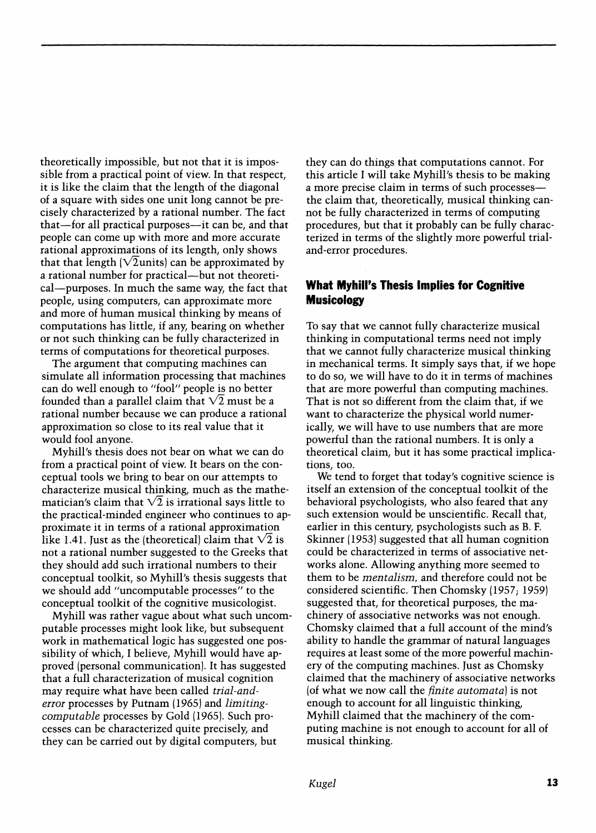**theoretically impossible, but not that it is impossible from a practical point of view. In that respect, it is like the claim that the length of the diagonal of a square with sides one unit long cannot be precisely characterized by a rational number. The fact that-for all practical purposes-it can be, and that people can come up with more and more accurate rational approximations of its length, only shows**  that that length  $(\sqrt{2}$ units) can be approximated by **a rational number for practical-but not theoretical-purposes. In much the same way, the fact that people, using computers, can approximate more and more of human musical thinking by means of computations has little, if any, bearing on whether or not such thinking can be fully characterized in terms of computations for theoretical purposes.** 

**I** 

**The argument that computing machines can simulate all information processing that machines can do well enough to "fool" people is no better**  founded than a parallel claim that  $\sqrt{2}$  must be a **rational number because we can produce a rational approximation so close to its real value that it would fool anyone.** 

**Myhill's thesis does not bear on what we can do from a practical point of view. It bears on the conceptual tools we bring to bear on our attempts to characterize musical thinking, much as the mathematician's claim that**  $\sqrt{2}$  **is irrational says little to the practical-minded engineer who continues to approximate it in terms of a rational approximation**  like 1.41. Just as the (theoretical) claim that  $\sqrt{2}$  is **not a rational number suggested to the Greeks that they should add such irrational numbers to their conceptual toolkit, so Myhill's thesis suggests that we should add "uncomputable processes" to the conceptual toolkit of the cognitive musicologist.** 

**Myhill was rather vague about what such uncomputable processes might look like, but subsequent work in mathematical logic has suggested one possibility of which, I believe, Myhill would have approved (personal communication). It has suggested that a full characterization of musical cognition may require what have been called trial-anderror processes by Putnam (1965) and limitingcomputable processes by Gold (1965). Such processes can be characterized quite precisely, and they can be carried out by digital computers, but** 

**they can do things that computations cannot. For this article I will take Myhill's thesis to be making a more precise claim in terms of such processesthe claim that, theoretically, musical thinking cannot be fully characterized in terms of computing procedures, but that it probably can be fully characterized in terms of the slightly more powerful trialand-error procedures.** 

### **What Myhill's Thesis Implies for Cognitive Musicology**

**To say that we cannot fully characterize musical thinking in computational terms need not imply that we cannot fully characterize musical thinking in mechanical terms. It simply says that, if we hope to do so, we will have to do it in terms of machines that are more powerful than computing machines. That is not so different from the claim that, if we want to characterize the physical world numerically, we will have to use numbers that are more powerful than the rational numbers. It is only a theoretical claim, but it has some practical implications, too.** 

**We tend to forget that today's cognitive science is itself an extension of the conceptual toolkit of the behavioral psychologists, who also feared that any such extension would be unscientific. Recall that, earlier in this century, psychologists such as B. F. Skinner (1953) suggested that all human cognition could be characterized in terms of associative networks alone. Allowing anything more seemed to them to be mentalism, and therefore could not be considered scientific. Then Chomsky (1957; 1959) suggested that, for theoretical purposes, the machinery of associative networks was not enough. Chomsky claimed that a full account of the mind's ability to handle the grammar of natural languages requires at least some of the more powerful machinery of the computing machines. Just as Chomsky claimed that the machinery of associative networks (of what we now call the finite automata) is not enough to account for all linguistic thinking, Myhill claimed that the machinery of the computing machine is not enough to account for all of musical thinking.**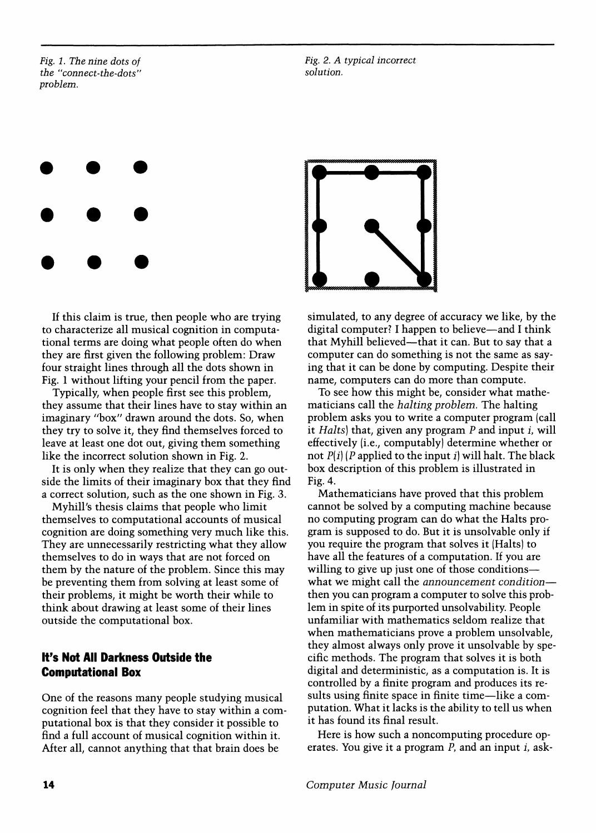**Fig. 1. The nine dots of the "connect-the-dots" problem.** 

**Fig. 2. A typical incorrect solution.** 

**I** 





**If this claim is true, then people who are trying to characterize all musical cognition in computational terms are doing what people often do when they are first given the following problem: Draw four straight lines through all the dots shown in Fig. 1 without lifting your pencil from the paper.** 

**Typically, when people first see this problem, they assume that their lines have to stay within an imaginary "box" drawn around the dots. So, when they try to solve it, they find themselves forced to leave at least one dot out, giving them something like the incorrect solution shown in Fig. 2.** 

**It is only when they realize that they can go outside the limits of their imaginary box that they find a correct solution, such as the one shown in Fig. 3.** 

**Myhill's thesis claims that people who limit themselves to computational accounts of musical cognition are doing something very much like this. They are unnecessarily restricting what they allow themselves to do in ways that are not forced on them by the nature of the problem. Since this may be preventing them from solving at least some of their problems, it might be worth their while to think about drawing at least some of their lines outside the computational box.** 

#### **It's Not All Darkness Outside the Computational Box**

**One of the reasons many people studying musical cognition feel that they have to stay within a computational box is that they consider it possible to find a full account of musical cognition within it. After all, cannot anything that that brain does be** 

**simulated, to any degree of accuracy we like, by the digital computer? I happen to believe-and I think that Myhill believed-that it can. But to say that a computer can do something is not the same as saying that it can be done by computing. Despite their name, computers can do more than compute.** 

**To see how this might be, consider what mathematicians call the halting problem. The halting problem asks you to write a computer program (call it Halts) that, given any program P and input i, will effectively (i.e., computably) determine whether or not P(i) (P applied to the input i) will halt. The black box description of this problem is illustrated in Fig. 4.** 

**Mathematicians have proved that this problem cannot be solved by a computing machine because no computing program can do what the Halts program is supposed to do. But it is unsolvable only if you require the program that solves it (Halts) to have all the features of a computation. If you are willing to give up just one of those conditionswhat we might call the announcement conditionthen you can program a computer to solve this problem in spite of its purported unsolvability. People unfamiliar with mathematics seldom realize that when mathematicians prove a problem unsolvable, they almost always only prove it unsolvable by specific methods. The program that solves it is both digital and deterministic, as a computation is. It is controlled by a finite program and produces its results using finite space in finite time-like a computation. What it lacks is the ability to tell us when it has found its final result.** 

**Here is how such a noncomputing procedure operates. You give it a program P, and an input i, ask-**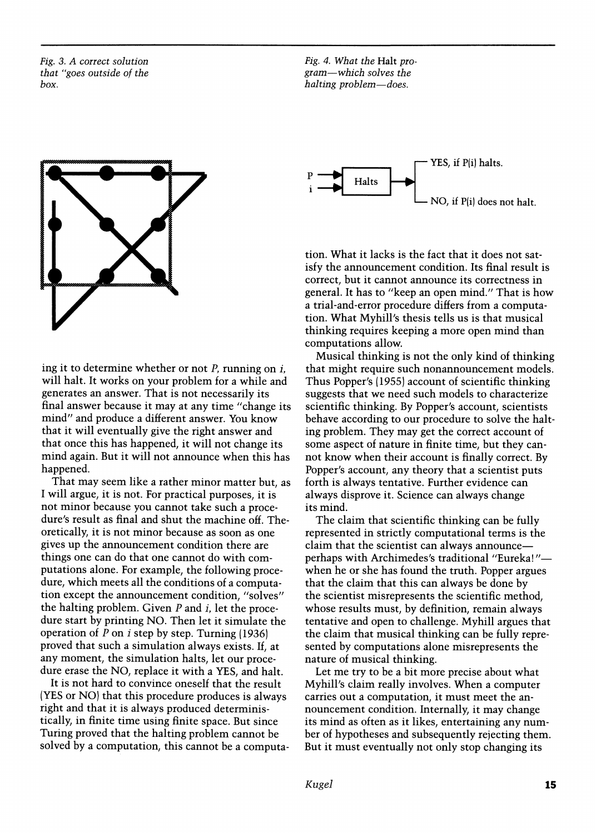**Fig. 3. A correct solution that "goes outside of the**   $h(x)$ 



**ing it to determine whether or not P, running on i, will halt. It works on your problem for a while and generates an answer. That is not necessarily its final answer because it may at any time "change its mind" and produce a different answer. You know that it will eventually give the right answer and that once this has happened, it will not change its mind again. But it will not announce when this has happened.** 

**That may seem like a rather minor matter but, as I will argue, it is not. For practical purposes, it is not minor because you cannot take such a procedure's result as final and shut the machine off. Theoretically, it is not minor because as soon as one gives up the announcement condition there are things one can do that one cannot do with computations alone. For example, the following procedure, which meets all the conditions of a computation except the announcement condition, "solves" the halting problem. Given P and i, let the procedure start by printing NO. Then let it simulate the operation of P on i step by step. Turning (1936) proved that such a simulation always exists. If, at any moment, the simulation halts, let our procedure erase the NO, replace it with a YES, and halt.** 

**It is not hard to convince oneself that the result (YES or NO) that this procedure produces is always right and that it is always produced deterministically, in finite time using finite space. But since Turing proved that the halting problem cannot be solved by a computation, this cannot be a computa-** 



**<sup>I</sup>~ ~ ~ ~** 

**tion. What it lacks is the fact that it does not satisfy the announcement condition. Its final result is correct, but it cannot announce its correctness in general. It has to "keep an open mind." That is how a trial-and-error procedure differs from a computation. What Myhill's thesis tells us is that musical thinking requires keeping a more open mind than computations allow.** 

**Musical thinking is not the only kind of thinking that might require such nonannouncement models. Thus Popper's (1955) account of scientific thinking suggests that we need such models to characterize scientific thinking. By Popper's account, scientists behave according to our procedure to solve the halting problem. They may get the correct account of some aspect of nature in finite time, but they cannot know when their account is finally correct. By Popper's account, any theory that a scientist puts forth is always tentative. Further evidence can always disprove it. Science can always change its mind.** 

**The claim that scientific thinking can be fully represented in strictly computational terms is the claim that the scientist can always announce**perhaps with Archimedes's traditional "Eureka!"**when he or she has found the truth. Popper argues that the claim that this can always be done by the scientist misrepresents the scientific method, whose results must, by definition, remain always tentative and open to challenge. Myhill argues that the claim that musical thinking can be fully represented by computations alone misrepresents the nature of musical thinking.** 

**Let me try to be a bit more precise about what Myhill's claim really involves. When a computer carries out a computation, it must meet the announcement condition. Internally, it may change its mind as often as it likes, entertaining any number of hypotheses and subsequently rejecting them. But it must eventually not only stop changing its**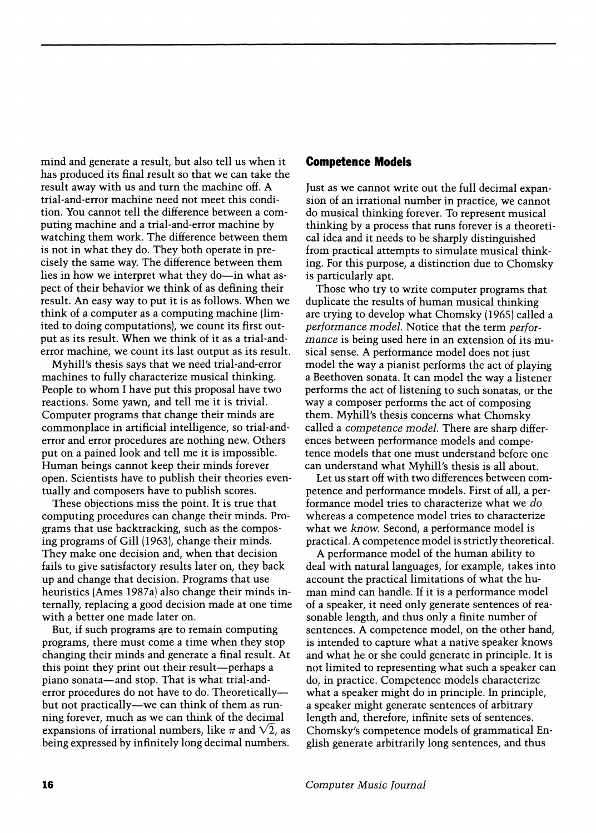**mind and generate a result, but also tell us when it has produced its final result so that we can take the result away with us and turn the machine off. A trial-and-error machine need not meet this condition. You cannot tell the difference between a computing machine and a trial-and-error machine by watching them work. The difference between them is not in what they do. They both operate in precisely the same way. The difference between them**  lies in how we interpret what they do—in what as**pect of their behavior we think of as defining their result. An easy way to put it is as follows. When we think of a computer as a computing machine (limited to doing computations), we count its first output as its result. When we think of it as a trial-anderror machine, we count its last output as its result.** 

**Myhill's thesis says that we need trial-and-error machines to fully characterize musical thinking. People to whom I have put this proposal have two reactions. Some yawn, and tell me it is trivial. Computer programs that change their minds are commonplace in artificial intelligence, so trial-anderror and error procedures are nothing new. Others put on a pained look and tell me it is impossible. Human beings cannot keep their minds forever open. Scientists have to publish their theories eventually and composers have to publish scores.** 

**These objections miss the point. It is true that computing procedures can change their minds. Programs that use backtracking, such as the composing programs of Gill (1963), change their minds. They make one decision and, when that decision fails to give satisfactory results later on, they back up and change that decision. Programs that use heuristics (Ames 1987a) also change their minds internally, replacing a good decision made at one time with a better one made later on.** 

**But, if such programs are to remain computing programs, there must come a time when they stop changing their minds and generate a final result. At this point they print out their result-perhaps a piano sonata-and stop. That is what trial-anderror procedures do not have to do. Theoreticallybut not practically-we can think of them as running forever, much as we can think of the decimal**  expansions of irrational numbers, like  $\pi$  and  $\sqrt{2}$ , as **being expressed by infinitely long decimal numbers.** 

#### **Competence Models**

**Just as we cannot write out the full decimal expansion of an irrational number in practice, we cannot do musical thinking forever. To represent musical thinking by a process that runs forever is a theoretical idea and it needs to be sharply distinguished from practical attempts to simulate musical thinking. For this purpose, a distinction due to Chomsky is particularly apt.** 

**I** 

**Those who try to write computer programs that duplicate the results of human musical thinking are trying to develop what Chomsky (1965) called a performance model. Notice that the term performance is being used here in an extension of its musical sense. A performance model does not just model the way a pianist performs the act of playing a Beethoven sonata. It can model the way a listener performs the act of listening to such sonatas, or the way a composer performs the act of composing them. Myhill's thesis concerns what Chomsky called a competence model. There are sharp differences between performance models and competence models that one must understand before one can understand what Myhill's thesis is all about.** 

**Let us start off with two differences between competence and performance models. First of all, a performance model tries to characterize what we do whereas a competence model tries to characterize what we know. Second, a performance model is practical. A competence model is strictly theoretical.** 

**A performance model of the human ability to deal with natural languages, for example, takes into account the practical limitations of what the human mind can handle. If it is a performance model of a speaker, it need only generate sentences of reasonable length, and thus only a finite number of sentences. A competence model, on the other hand, is intended to capture what a native speaker knows and what he or she could generate in principle. It is not limited to representing what such a speaker can do, in practice. Competence models characterize what a speaker might do in principle. In principle, a speaker might generate sentences of arbitrary length and, therefore, infinite sets of sentences. Chomsky's competence models of grammatical English generate arbitrarily long sentences, and thus**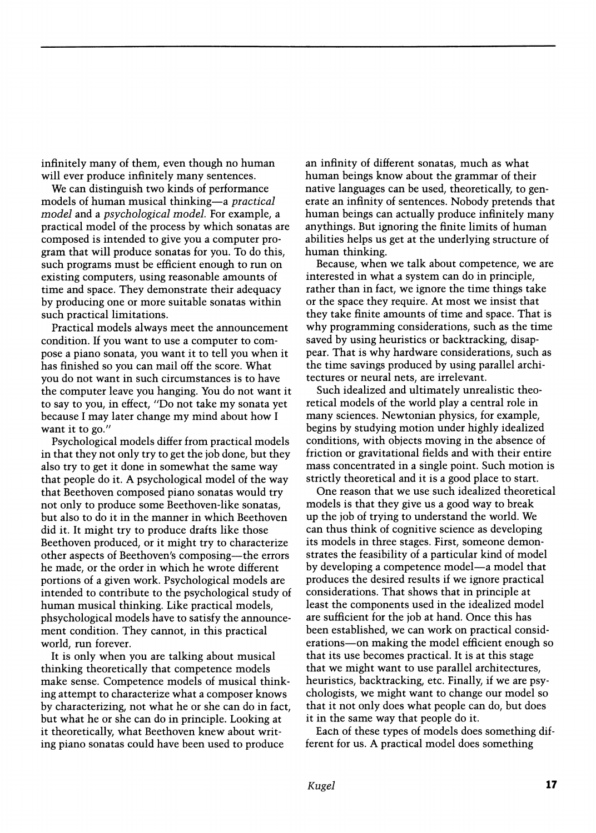**infinitely many of them, even though no human will ever produce infinitely many sentences.** 

**We can distinguish two kinds of performance models of human musical thinking-a practical model and a psychological model. For example, a practical model of the process by which sonatas are composed is intended to give you a computer program that will produce sonatas for you. To do this, such programs must be efficient enough to run on existing computers, using reasonable amounts of time and space. They demonstrate their adequacy by producing one or more suitable sonatas within such practical limitations.** 

**Practical models always meet the announcement condition. If you want to use a computer to compose a piano sonata, you want it to tell you when it has finished so you can mail off the score. What you do not want in such circumstances is to have the computer leave you hanging. You do not want it to say to you, in effect, "Do not take my sonata yet because I may later change my mind about how I want it to go."** 

**Psychological models differ from practical models in that they not only try to get the job done, but they also try to get it done in somewhat the same way that people do it. A psychological model of the way that Beethoven composed piano sonatas would try not only to produce some Beethoven-like sonatas, but also to do it in the manner in which Beethoven did it. It might try to produce drafts like those Beethoven produced, or it might try to characterize other aspects of Beethoven's composing-the errors he made, or the order in which he wrote different portions of a given work. Psychological models are intended to contribute to the psychological study of human musical thinking. Like practical models, phsychological models have to satisfy the announcement condition. They cannot, in this practical world, run forever.** 

**It is only when you are talking about musical thinking theoretically that competence models make sense. Competence models of musical thinking attempt to characterize what a composer knows by characterizing, not what he or she can do in fact, but what he or she can do in principle. Looking at it theoretically, what Beethoven knew about writing piano sonatas could have been used to produce** 

**an infinity of different sonatas, much as what human beings know about the grammar of their native languages can be used, theoretically, to generate an infinity of sentences. Nobody pretends that human beings can actually produce infinitely many anythings. But ignoring the finite limits of human abilities helps us get at the underlying structure of human thinking.** 

**I I** 

**Because, when we talk about competence, we are interested in what a system can do in principle, rather than in fact, we ignore the time things take or the space they require. At most we insist that they take finite amounts of time and space. That is why programming considerations, such as the time saved by using heuristics or backtracking, disappear. That is why hardware considerations, such as the time savings produced by using parallel architectures or neural nets, are irrelevant.** 

**Such idealized and ultimately unrealistic theoretical models of the world play a central role in many sciences. Newtonian physics, for example, begins by studying motion under highly idealized conditions, with objects moving in the absence of friction or gravitational fields and with their entire mass concentrated in a single point. Such motion is strictly theoretical and it is a good place to start.** 

**One reason that we use such idealized theoretical models is that they give us a good way to break up the job of trying to understand the world. We can thus think of cognitive science as developing its models in three stages. First, someone demonstrates the feasibility of a particular kind of model by developing a competence model-a model that produces the desired results if we ignore practical considerations. That shows that in principle at least the components used in the idealized model are sufficient for the job at hand. Once this has been established, we can work on practical considerations-on making the model efficient enough so that its use becomes practical. It is at this stage that we might want to use parallel architectures, heuristics, backtracking, etc. Finally, if we are psychologists, we might want to change our model so that it not only does what people can do, but does it in the same way that people do it.** 

**Each of these types of models does something different for us. A practical model does something**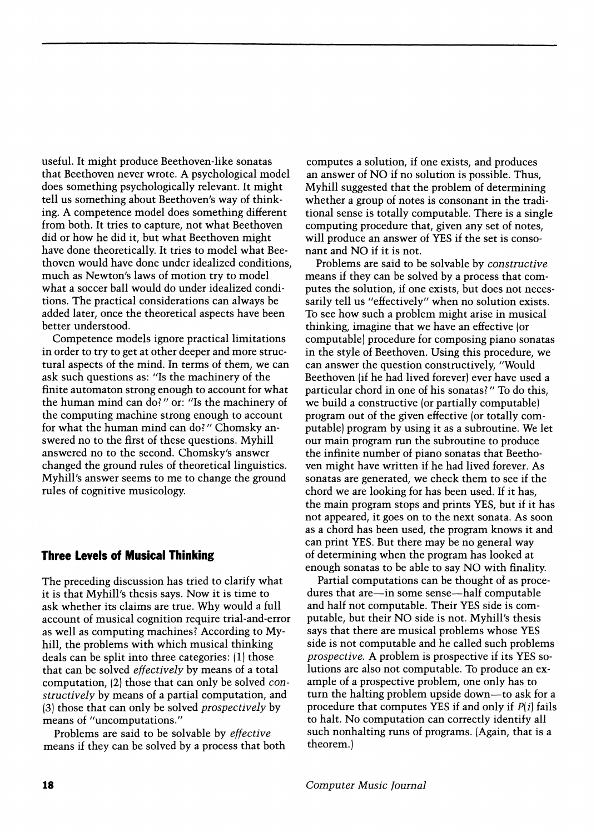**useful. It might produce Beethoven-like sonatas that Beethoven never wrote. A psychological model does something psychologically relevant. It might tell us something about Beethoven's way of thinking. A competence model does something different from both. It tries to capture, not what Beethoven did or how he did it, but what Beethoven might have done theoretically. It tries to model what Beethoven would have done under idealized conditions, much as Newton's laws of motion try to model what a soccer ball would do under idealized conditions. The practical considerations can always be added later, once the theoretical aspects have been better understood.** 

**Competence models ignore practical limitations in order to try to get at other deeper and more structural aspects of the mind. In terms of them, we can ask such questions as: "Is the machinery of the finite automaton strong enough to account for what the human mind can do? " or: "Is the machinery of the computing machine strong enough to account for what the human mind can do? " Chomsky answered no to the first of these questions. Myhill answered no to the second. Chomsky's answer changed the ground rules of theoretical linguistics. Myhill's answer seems to me to change the ground rules of cognitive musicology.** 

#### **Three Levels of Musical Thinking**

**The preceding discussion has tried to clarify what it is that Myhill's thesis says. Now it is time to ask whether its claims are true. Why would a full account of musical cognition require trial-and-error as well as computing machines? According to Myhill, the problems with which musical thinking deals can be split into three categories: (1) those that can be solved effectively by means of a total computation, (2) those that can only be solved constructively by means of a partial computation, and (3) those that can only be solved prospectively by means of "uncomputations."** 

**Problems are said to be solvable by effective means if they can be solved by a process that both** 

**computes a solution, if one exists, and produces an answer of NO if no solution is possible. Thus, Myhill suggested that the problem of determining whether a group of notes is consonant in the traditional sense is totally computable. There is a single computing procedure that, given any set of notes, will produce an answer of YES if the set is consonant and NO if it is not.** 

**Problems are said to be solvable by constructive means if they can be solved by a process that computes the solution, if one exists, but does not necessarily tell us "effectively" when no solution exists. To see how such a problem might arise in musical thinking, imagine that we have an effective (or computable) procedure for composing piano sonatas in the style of Beethoven. Using this procedure, we can answer the question constructively, "Would Beethoven (if he had lived forever) ever have used a particular chord in one of his sonatas? " To do this, we build a constructive (or partially computable) program out of the given effective (or totally computable) program by using it as a subroutine. We let our main program run the subroutine to produce the infinite number of piano sonatas that Beethoven might have written if he had lived forever. As sonatas are generated, we check them to see if the chord we are looking for has been used. If it has, the main program stops and prints YES, but if it has not appeared, it goes on to the next sonata. As soon as a chord has been used, the program knows it and can print YES. But there may be no general way of determining when the program has looked at enough sonatas to be able to say NO with finality.** 

**Partial computations can be thought of as proce**dures that are—in some sense—half computable **and half not computable. Their YES side is computable, but their NO side is not. Myhill's thesis says that there are musical problems whose YES side is not computable and he called such problems prospective. A problem is prospective if its YES solutions are also not computable. To produce an example of a prospective problem, one only has to turn the halting problem upside down-to ask for a procedure that computes YES if and only if P{i) fails to halt. No computation can correctly identify all such nonhalting runs of programs. (Again, that is a theorem.)**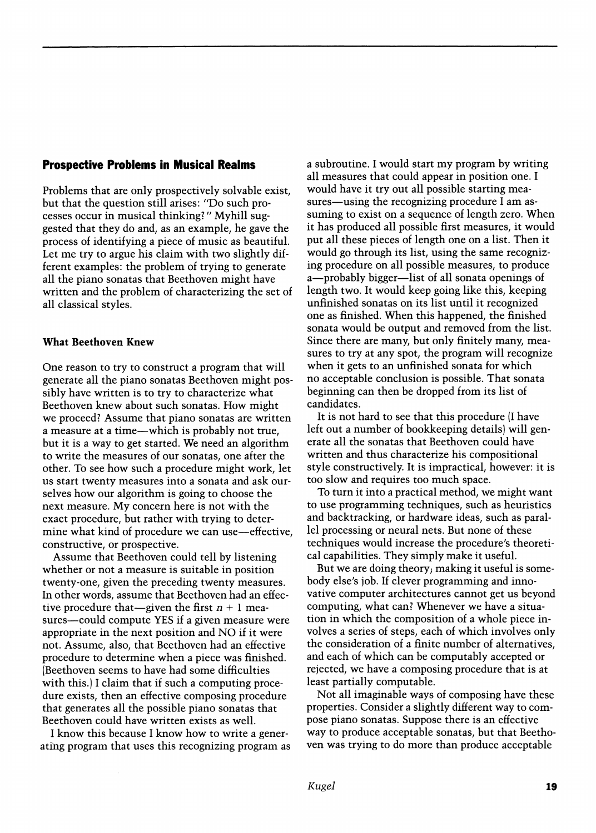#### **Prospective Problems in Musical Realms**

**Problems that are only prospectively solvable exist, but that the question still arises: "Do such processes occur in musical thinking? " Myhill suggested that they do and, as an example, he gave the process of identifying a piece of music as beautiful. Let me try to argue his claim with two slightly different examples: the problem of trying to generate all the piano sonatas that Beethoven might have written and the problem of characterizing the set of all classical styles.** 

#### **What Beethoven Knew**

**One reason to try to construct a program that will generate all the piano sonatas Beethoven might possibly have written is to try to characterize what Beethoven knew about such sonatas. How might we proceed? Assume that piano sonatas are written a measure at a time-which is probably not true, but it is a way to get started. We need an algorithm to write the measures of our sonatas, one after the other. To see how such a procedure might work, let us start twenty measures into a sonata and ask ourselves how our algorithm is going to choose the next measure. My concern here is not with the exact procedure, but rather with trying to deter**mine what kind of procedure we can use-effective, **constructive, or prospective.** 

**Assume that Beethoven could tell by listening whether or not a measure is suitable in position twenty-one, given the preceding twenty measures. In other words, assume that Beethoven had an effec**tive procedure that—given the first  $n + 1$  mea**sures-could compute YES if a given measure were appropriate in the next position and NO if it were not. Assume, also, that Beethoven had an effective procedure to determine when a piece was finished. (Beethoven seems to have had some difficulties with this.) I claim that if such a computing procedure exists, then an effective composing procedure that generates all the possible piano sonatas that Beethoven could have written exists as well.** 

**I know this because I know how to write a generating program that uses this recognizing program as**  **a subroutine. I would start my program by writing all measures that could appear in position one. I would have it try out all possible starting mea**sures—using the recognizing procedure I am as**suming to exist on a sequence of length zero. When it has produced all possible first measures, it would put all these pieces of length one on a list. Then it would go through its list, using the same recognizing procedure on all possible measures, to produce a-probably bigger-list of all sonata openings of length two. It would keep going like this, keeping unfinished sonatas on its list until it recognized one as finished. When this happened, the finished sonata would be output and removed from the list. Since there are many, but only finitely many, measures to try at any spot, the program will recognize when it gets to an unfinished sonata for which no acceptable conclusion is possible. That sonata beginning can then be dropped from its list of candidates.** 

**It is not hard to see that this procedure (I have left out a number of bookkeeping details) will generate all the sonatas that Beethoven could have written and thus characterize his compositional style constructively. It is impractical, however: it is too slow and requires too much space.** 

**To turn it into a practical method, we might want to use programming techniques, such as heuristics and backtracking, or hardware ideas, such as parallel processing or neural nets. But none of these techniques would increase the procedure's theoretical capabilities. They simply make it useful.** 

**But we are doing theory; making it useful is somebody else's job. If clever programming and innovative computer architectures cannot get us beyond computing, what can? Whenever we have a situation in which the composition of a whole piece involves a series of steps, each of which involves only the consideration of a finite number of alternatives, and each of which can be computably accepted or rejected, we have a composing procedure that is at least partially computable.** 

**Not all imaginable ways of composing have these properties. Consider a slightly different way to compose piano sonatas. Suppose there is an effective way to produce acceptable sonatas, but that Beethoven was trying to do more than produce acceptable**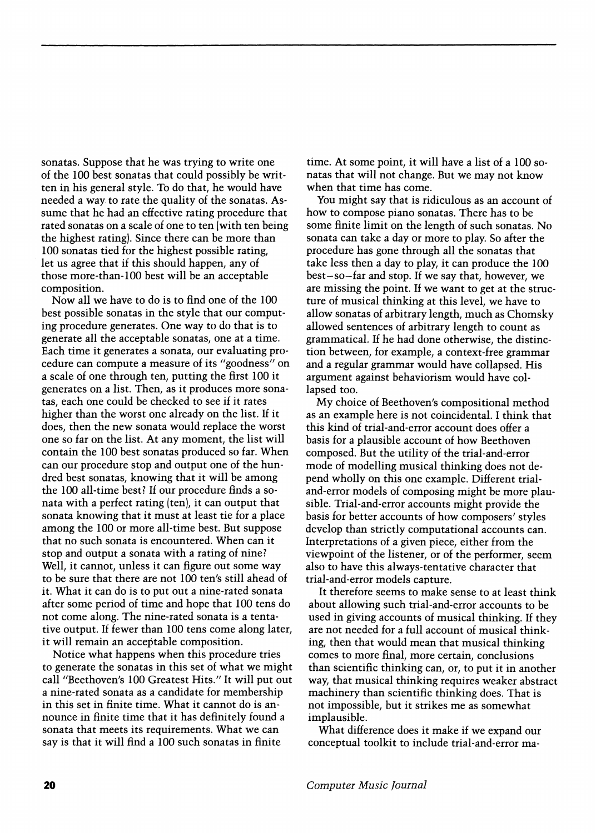**sonatas. Suppose that he was trying to write one of the 100 best sonatas that could possibly be written in his general style. To do that, he would have needed a way to rate the quality of the sonatas. Assume that he had an effective rating procedure that rated sonatas on a scale of one to ten (with ten being the highest rating). Since there can be more than 100 sonatas tied for the highest possible rating, let us agree that if this should happen, any of those more-than-100 best will be an acceptable composition.** 

**I** 

**Now all we have to do is to find one of the 100 best possible sonatas in the style that our computing procedure generates. One way to do that is to generate all the acceptable sonatas, one at a time. Each time it generates a sonata, our evaluating procedure can compute a measure of its "goodness" on a scale of one through ten, putting the first 100 it generates on a list. Then, as it produces more sonatas, each one could be checked to see if it rates higher than the worst one already on the list. If it does, then the new sonata would replace the worst one so far on the list. At any moment, the list will contain the 100 best sonatas produced so far. When can our procedure stop and output one of the hundred best sonatas, knowing that it will be among the 100 all-time best? If our procedure finds a sonata with a perfect rating (ten), it can output that sonata knowing that it must at least tie for a place among the 100 or more all-time best. But suppose that no such sonata is encountered. When can it stop and output a sonata with a rating of nine? Well, it cannot, unless it can figure out some way to be sure that there are not 100 ten's still ahead of it. What it can do is to put out a nine-rated sonata after some period of time and hope that 100 tens do not come along. The nine-rated sonata is a tentative output. If fewer than 100 tens come along later, it will remain an acceptable composition.** 

**Notice what happens when this procedure tries to generate the sonatas in this set of what we might call "Beethoven's 100 Greatest Hits." It will put out a nine-rated sonata as a candidate for membership in this set in finite time. What it cannot do is announce in finite time that it has definitely found a sonata that meets its requirements. What we can say is that it will find a 100 such sonatas in finite** 

**time. At some point, it will have a list of a 100 sonatas that will not change. But we may not know when that time has come.** 

**You might say that is ridiculous as an account of how to compose piano sonatas. There has to be some finite limit on the length of such sonatas. No sonata can take a day or more to play. So after the procedure has gone through all the sonatas that take less then a day to play, it can produce the 100 best-so-far and stop. If we say that, however, we are missing the point. If we want to get at the structure of musical thinking at this level, we have to allow sonatas of arbitrary length, much as Chomsky allowed sentences of arbitrary length to count as grammatical. If he had done otherwise, the distinction between, for example, a context-free grammar and a regular grammar would have collapsed. His argument against behaviorism would have collapsed too.** 

**My choice of Beethoven's compositional method as an example here is not coincidental. I think that this kind of trial-and-error account does offer a basis for a plausible account of how Beethoven composed. But the utility of the trial-and-error mode of modelling musical thinking does not depend wholly on this one example. Different trialand-error models of composing might be more plausible. Trial-and-error accounts might provide the basis for better accounts of how composers' styles develop than strictly computational accounts can. Interpretations of a given piece, either from the viewpoint of the listener, or of the performer, seem also to have this always-tentative character that trial-and-error models capture.** 

**It therefore seems to make sense to at least think about allowing such trial-and-error accounts to be used in giving accounts of musical thinking. If they are not needed for a full account of musical thinking, then that would mean that musical thinking comes to more final, more certain, conclusions than scientific thinking can, or, to put it in another way, that musical thinking requires weaker abstract machinery than scientific thinking does. That is not impossible, but it strikes me as somewhat implausible.** 

**What difference does it make if we expand our conceptual toolkit to include trial-and-error ma-**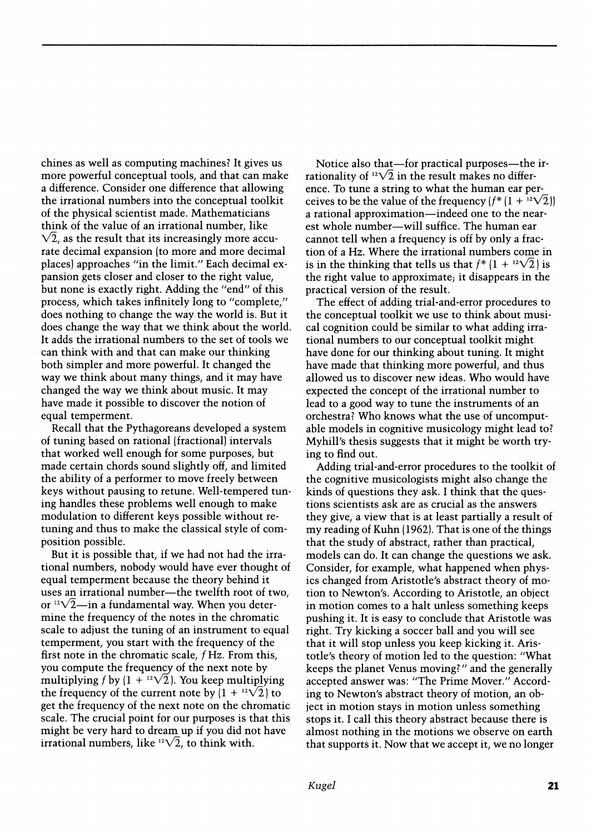**chines as well as computing machines? It gives us more powerful conceptual tools, and that can make a difference. Consider one difference that allowing the irrational numbers into the conceptual toolkit of the physical scientist made. Mathematicians think of the value of an irrational number, like**   $\sqrt{2}$ , as the result that its increasingly more accu**rate decimal expansion (to more and more decimal places) approaches "in the limit." Each decimal expansion gets closer and closer to the right value, but none is exactly right. Adding the "end" of this process, which takes infinitely long to "complete," does nothing to change the way the world is. But it does change the way that we think about the world. It adds the irrational numbers to the set of tools we can think with and that can make our thinking both simpler and more powerful. It changed the way we think about many things, and it may have changed the way we think about music. It may have made it possible to discover the notion of equal temperment.** 

**Recall that the Pythagoreans developed a system of tuning based on rational (fractional) intervals that worked well enough for some purposes, but made certain chords sound slightly off, and limited the ability of a performer to move freely between keys without pausing to retune. Well-tempered tuning handles these problems well enough to make modulation to different keys possible without retuning and thus to make the classical style of composition possible.** 

**But it is possible that, if we had not had the irrational numbers, nobody would have ever thought of equal temperment because the theory behind it**  uses an irrational number-the twelfth root of two, or  $\frac{12}{\sqrt{2}}$  in a fundamental way. When you deter**mine the frequency of the notes in the chromatic scale to adjust the tuning of an instrument to equal temperment, you start with the frequency of the first note in the chromatic scale, f Hz. From this, you compute the frequency of the next note by multiplying**  $f$  by  $(1 + 12\sqrt{2})$ . You keep multiplying **the frequency of the current note by**  $(1 + 12\sqrt{2})$  **to get the frequency of the next note on the chromatic scale. The crucial point for our purposes is that this might be very hard to dream up if you did not have irrational numbers, like <sup>12</sup>** $\sqrt{2}$ **, to think with.** 

Notice also that—for practical purposes—the irrationality of  $12\sqrt{2}$  in the result makes no differ**ence. To tune a string to what the human ear per**ceives to be the value of the frequency  $(f^* (1 + 12\sqrt{2}))$ **a rational approximation-indeed one to the nearest whole number-will suffice. The human ear cannot tell when a frequency is off by only a fraction of a Hz. Where the irrational numbers come in**  is in the thinking that tells us that  $f^*$   $(1 + 12\sqrt{2})$  is **the right value to approximate; it disappears in the practical version of the result.** 

**The effect of adding trial-and-error procedures to the conceptual toolkit we use to think about musical cognition could be similar to what adding irrational numbers to our conceptual toolkit might have done for our thinking about tuning. It might have made that thinking more powerful, and thus allowed us to discover new ideas. Who would have expected the concept of the irrational number to lead to a good way to tune the instruments of an orchestra? Who knows what the use of uncomputable models in cognitive musicology might lead to? Myhill's thesis suggests that it might be worth trying to find out.** 

**Adding trial-and-error procedures to the toolkit of the cognitive musicologists might also change the kinds of questions they ask. I think that the questions scientists ask are as crucial as the answers they give, a view that is at least partially a result of my reading of Kuhn (1962). That is one of the things that the study of abstract, rather than practical, models can do. It can change the questions we ask. Consider, for example, what happened when physics changed from Aristotle's abstract theory of motion to Newton's. According to Aristotle, an object in motion comes to a halt unless something keeps pushing it. It is easy to conclude that Aristotle was right. Try kicking a soccer ball and you will see that it will stop unless you keep kicking it. Aristotle's theory of motion led to the question: "What keeps the planet Venus moving? " and the generally accepted answer was: "The Prime Mover." According to Newton's abstract theory of motion, an object in motion stays in motion unless something stops it. I call this theory abstract because there is almost nothing in the motions we observe on earth that supports it. Now that we accept it, we no longer**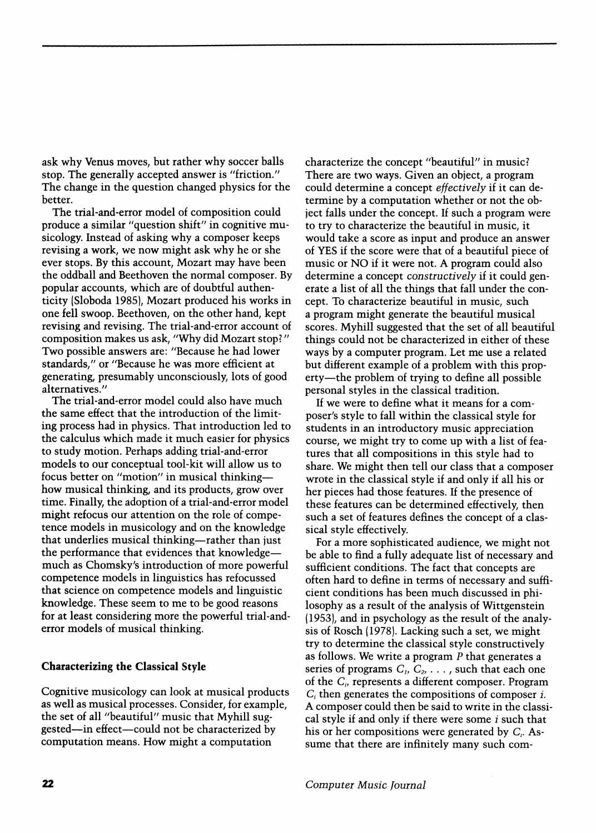**ask why Venus moves, but rather why soccer balls stop. The generally accepted answer is "friction." The change in the question changed physics for the better.** 

**The trial-and-error model of composition could produce a similar "question shift" in cognitive musicology. Instead of asking why a composer keeps revising a work, we now might ask why he or she ever stops. By this account, Mozart may have been the oddball and Beethoven the normal composer. By popular accounts, which are of doubtful authenticity (Sloboda 1985), Mozart produced his works in one fell swoop. Beethoven, on the other hand, kept revising and revising. The trial-and-error account of composition makes us ask, "Why did Mozart stop?" Two possible answers are: "Because he had lower standards," or "Because he was more efficient at generating, presumably unconsciously, lots of good alternatives."** 

**The trial-and-error model could also have much the same effect that the introduction of the limiting process had in physics. That introduction led to the calculus which made it much easier for physics to study motion. Perhaps adding trial-and-error models to our conceptual tool-kit will allow us to focus better on "motion" in musical thinkinghow musical thinking, and its products, grow over time. Finally, the adoption of a trial-and-error model might refocus our attention on the role of competence models in musicology and on the knowledge that underlies musical thinking-rather than just the performance that evidences that knowledgemuch as Chomsky's introduction of more powerful competence models in linguistics has refocussed that science on competence models and linguistic knowledge. These seem to me to be good reasons for at least considering more the powerful trial-anderror models of musical thinking.** 

#### **Characterizing the Classical Style**

**Cognitive musicology can look at musical products as well as musical processes. Consider, for example, the set of all "beautiful" music that Myhill suggested-in effect-could not be characterized by computation means. How might a computation** 

**characterize the concept "beautiful" in music? There are two ways. Given an object, a program could determine a concept effectively if it can determine by a computation whether or not the object falls under the concept. If such a program were to try to characterize the beautiful in music, it would take a score as input and produce an answer of YES if the score were that of a beautiful piece of music or NO if it were not. A program could also determine a concept constructively if it could generate a list of all the things that fall under the concept. To characterize beautiful in music, such a program might generate the beautiful musical scores. Myhill suggested that the set of all beautiful things could not be characterized in either of these ways by a computer program. Let me use a related but different example of a problem with this property-the problem of trying to define all possible personal styles in the classical tradition.** 

**If we were to define what it means for a composer's style to fall within the classical style for students in an introductory music appreciation course, we might try to come up with a list of features that all compositions in this style had to share. We might then tell our class that a composer wrote in the classical style if and only if all his or her pieces had those features. If the presence of these features can be determined effectively, then such a set of features defines the concept of a classical style effectively.** 

**For a more sophisticated audience, we might not be able to find a fully adequate list of necessary and sufficient conditions. The fact that concepts are often hard to define in terms of necessary and sufficient conditions has been much discussed in philosophy as a result of the analysis of Wittgenstein (1953), and in psychology as the result of the analysis of Rosch (1978). Lacking such a set, we might try to determine the classical style constructively as follows. We write a program P that generates a**  series of programs  $C_1, C_2, \ldots$ , such that each one **of the C,, represents a different composer. Program Ci then generates the compositions of composer i. A composer could then be said to write in the classical style if and only if there were some i such that his or her compositions were generated by C,. Assume that there are infinitely many such com-**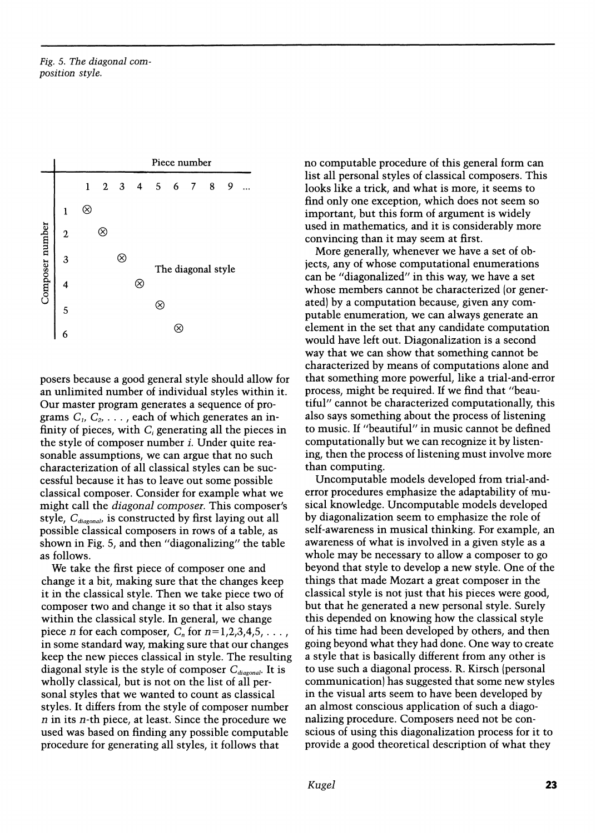

**posers because a good general style should allow for an unlimited number of individual styles within it. Our master program generates a sequence of pro**grams  $C_1, C_2, \ldots$ , each of which generates an in**finity of pieces, with C, generating all the pieces in the style of composer number i. Under quite reasonable assumptions, we can argue that no such characterization of all classical styles can be successful because it has to leave out some possible classical composer. Consider for example what we might call the diagonal composer. This composer's**  style, C<sub>diagonal</sub>, is constructed by first laying out all **possible classical composers in rows of a table, as shown in Fig. 5, and then "diagonalizing" the table as follows.** 

**We take the first piece of composer one and change it a bit, making sure that the changes keep it in the classical style. Then we take piece two of composer two and change it so that it also stays within the classical style. In general, we change**  piece *n* for each composer,  $C_n$  for  $n=1,2,3,4,5, \ldots$ **in some standard way, making sure that our changes keep the new pieces classical in style. The resulting**  diagonal style is the style of composer  $C_{diagonal}$ . It is **wholly classical, but is not on the list of all personal styles that we wanted to count as classical styles. It differs from the style of composer number n in its n-th piece, at least. Since the procedure we used was based on finding any possible computable procedure for generating all styles, it follows that** 

**no computable procedure of this general form can list all personal styles of classical composers. This looks like a trick, and what is more, it seems to find only one exception, which does not seem so important, but this form of argument is widely used in mathematics, and it is considerably more convincing than it may seem at first.** 

**More generally, whenever we have a set of objects, any of whose computational enumerations can be "diagonalized" in this way, we have a set whose members cannot be characterized (or generated) by a computation because, given any computable enumeration, we can always generate an element in the set that any candidate computation would have left out. Diagonalization is a second way that we can show that something cannot be characterized by means of computations alone and that something more powerful, like a trial-and-error process, might be required. If we find that "beautiful" cannot be characterized computationally, this also says something about the process of listening to music. If "beautiful" in music cannot be defined computationally but we can recognize it by listening, then the process of listening must involve more than computing.** 

**Uncomputable models developed from trial-anderror procedures emphasize the adaptability of musical knowledge. Uncomputable models developed by diagonalization seem to emphasize the role of self-awareness in musical thinking. For example, an awareness of what is involved in a given style as a whole may be necessary to allow a composer to go beyond that style to develop a new style. One of the things that made Mozart a great composer in the classical style is not just that his pieces were good, but that he generated a new personal style. Surely this depended on knowing how the classical style of his time had been developed by others, and then going beyond what they had done. One way to create a style that is basically different from any other is to use such a diagonal process. R. Kirsch (personal communication) has suggested that some new styles in the visual arts seem to have been developed by an almost conscious application of such a diagonalizing procedure. Composers need not be conscious of using this diagonalization process for it to provide a good theoretical description of what they**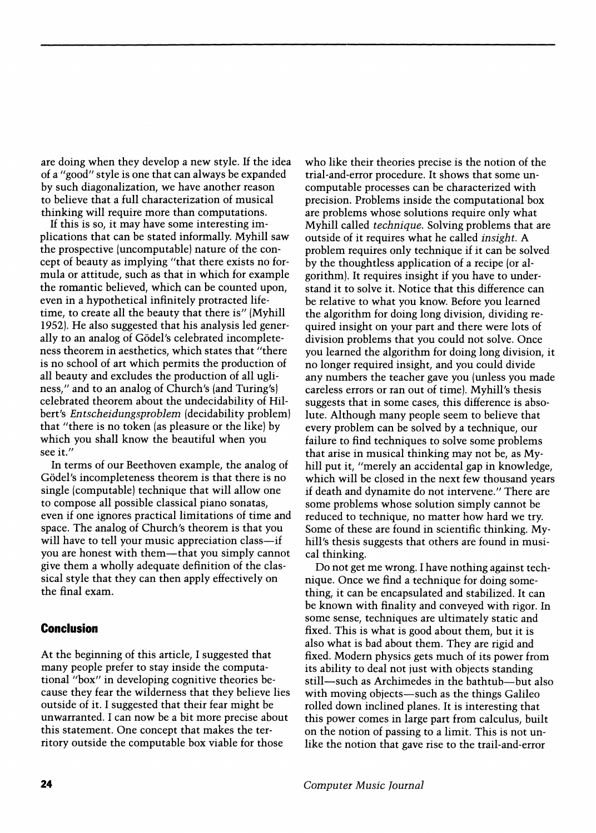**are doing when they develop a new style. If the idea of a "good" style is one that can always be expanded by such diagonalization, we have another reason to believe that a full characterization of musical thinking will require more than computations.** 

**If this is so, it may have some interesting implications that can be stated informally. Myhill saw the prospective (uncomputable) nature of the concept of beauty as implying "that there exists no formula or attitude, such as that in which for example the romantic believed, which can be counted upon, even in a hypothetical infinitely protracted lifetime, to create all the beauty that there is" (Myhill 1952). He also suggested that his analysis led generally to an analog of Godel's celebrated incompleteness theorem in aesthetics, which states that "there is no school of art which permits the production of all beauty and excludes the production of all ugliness," and to an analog of Church's (and Turing's) celebrated theorem about the undecidability of Hilbert's Entscheidungsproblem (decidability problem) that "there is no token (as pleasure or the like) by which you shall know the beautiful when you see it."** 

**In terms of our Beethoven example, the analog of Godel's incompleteness theorem is that there is no single (computable) technique that will allow one to compose all possible classical piano sonatas, even if one ignores practical limitations of time and space. The analog of Church's theorem is that you**  will have to tell your music appreciation class—if **you are honest with them-that you simply cannot give them a wholly adequate definition of the classical style that they can then apply effectively on the final exam.** 

#### **Conclusion**

**At the beginning of this article, I suggested that many people prefer to stay inside the computational "box" in developing cognitive theories because they fear the wilderness that they believe lies outside of it. I suggested that their fear might be unwarranted. I can now be a bit more precise about this statement. One concept that makes the territory outside the computable box viable for those** 

**who like their theories precise is the notion of the trial-and-error procedure. It shows that some uncomputable processes can be characterized with precision. Problems inside the computational box are problems whose solutions require only what Myhill called technique. Solving problems that are outside of it requires what he called insight. A problem requires only technique if it can be solved by the thoughtless application of a recipe (or algorithm). It requires insight if you have to understand it to solve it. Notice that this difference can be relative to what you know. Before you learned the algorithm for doing long division, dividing required insight on your part and there were lots of division problems that you could not solve. Once you learned the algorithm for doing long division, it no longer required insight, and you could divide any numbers the teacher gave you (unless you made careless errors or ran out of time). Myhill's thesis suggests that in some cases, this difference is absolute. Although many people seem to believe that every problem can be solved by a technique, our failure to find techniques to solve some problems that arise in musical thinking may not be, as Myhill put it, "merely an accidental gap in knowledge, which will be closed in the next few thousand years if death and dynamite do not intervene." There are some problems whose solution simply cannot be reduced to technique, no matter how hard we try. Some of these are found in scientific thinking. Myhill's thesis suggests that others are found in musical thinking.** 

**Do not get me wrong. I have nothing against technique. Once we find a technique for doing something, it can be encapsulated and stabilized. It can be known with finality and conveyed with rigor. In some sense, techniques are ultimately static and fixed. This is what is good about them, but it is also what is bad about them. They are rigid and fixed. Modern physics gets much of its power from its ability to deal not just with objects standing still-such as Archimedes in the bathtub-but also with moving objects-such as the things Galileo rolled down inclined planes. It is interesting that this power comes in large part from calculus, built on the notion of passing to a limit. This is not unlike the notion that gave rise to the trail-and-error**